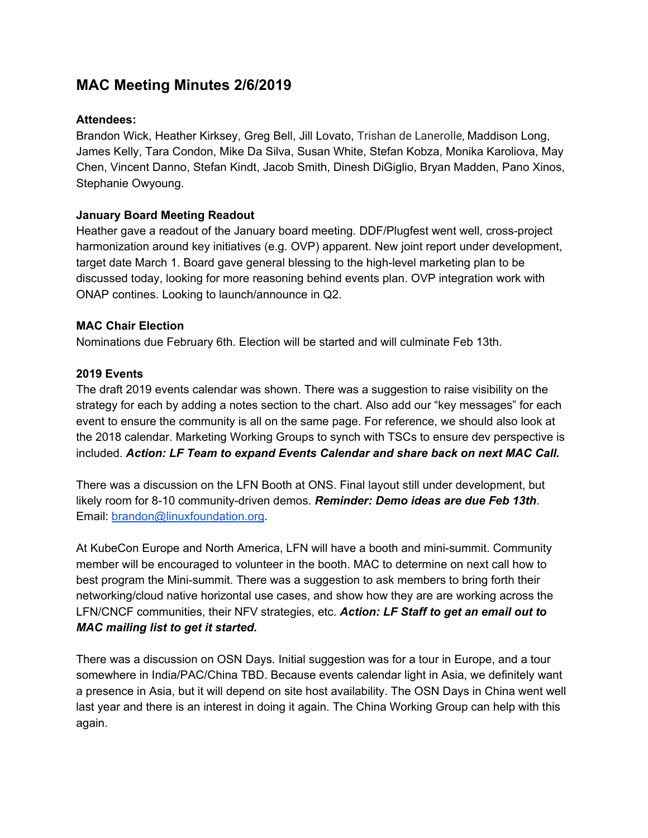# **MAC Meeting Minutes 2/6/2019**

## **Attendees:**

Brandon Wick, Heather Kirksey, Greg Bell, Jill Lovato, Trishan de Lanerolle, Maddison Long, James Kelly, Tara Condon, Mike Da Silva, Susan White, Stefan Kobza, Monika Karoliova, May Chen, Vincent Danno, Stefan Kindt, Jacob Smith, Dinesh DiGiglio, Bryan Madden, Pano Xinos, Stephanie Owyoung.

### **January Board Meeting Readout**

Heather gave a readout of the January board meeting. DDF/Plugfest went well, cross-project harmonization around key initiatives (e.g. OVP) apparent. New joint report under development, target date March 1. Board gave general blessing to the high-level marketing plan to be discussed today, looking for more reasoning behind events plan. OVP integration work with ONAP contines. Looking to launch/announce in Q2.

#### **MAC Chair Election**

Nominations due February 6th. Election will be started and will culminate Feb 13th.

### **2019 Events**

The draft 2019 events calendar was shown. There was a suggestion to raise visibility on the strategy for each by adding a notes section to the chart. Also add our "key messages" for each event to ensure the community is all on the same page. For reference, we should also look at the 2018 calendar. Marketing Working Groups to synch with TSCs to ensure dev perspective is included. *Action: LF Team to expand Events Calendar and share back on next MAC Call.*

There was a discussion on the LFN Booth at ONS. Final layout still under development, but likely room for 8-10 community-driven demos. *Reminder: Demo ideas are due Feb 13th*. Email: [brandon@linuxfoundation.org.](mailto:brandon@linuxfoundation.org)

At KubeCon Europe and North America, LFN will have a booth and mini-summit. Community member will be encouraged to volunteer in the booth. MAC to determine on next call how to best program the Mini-summit. There was a suggestion to ask members to bring forth their networking/cloud native horizontal use cases, and show how they are are working across the LFN/CNCF communities, their NFV strategies, etc. *Action: LF Staff to get an email out to MAC mailing list to get it started.*

There was a discussion on OSN Days. Initial suggestion was for a tour in Europe, and a tour somewhere in India/PAC/China TBD. Because events calendar light in Asia, we definitely want a presence in Asia, but it will depend on site host availability. The OSN Days in China went well last year and there is an interest in doing it again. The China Working Group can help with this again.